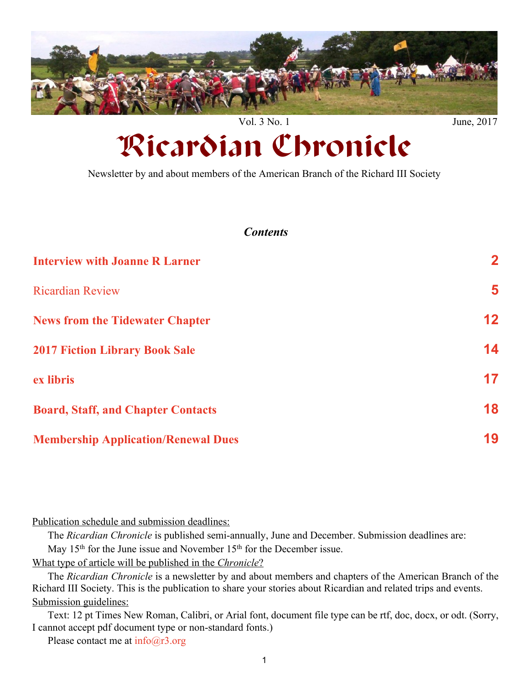<span id="page-0-0"></span>

# Ricardian Chronicle

Newsletter by and about members of the American Branch of the Richard III Society

#### *Contents*

| <b>Interview with Joanne R Larner</b>      | $\overline{\mathbf{2}}$ |
|--------------------------------------------|-------------------------|
| <b>Ricardian Review</b>                    | 5                       |
| <b>News from the Tidewater Chapter</b>     | 12                      |
| <b>2017 Fiction Library Book Sale</b>      | 14                      |
| ex libris                                  | 17                      |
| <b>Board, Staff, and Chapter Contacts</b>  | 18                      |
| <b>Membership Application/Renewal Dues</b> | 19                      |

Publication schedule and submission deadlines:

The *Ricardian Chronicle* is published semi-annually, June and December. Submission deadlines are: May 15<sup>th</sup> for the June issue and November 15<sup>th</sup> for the December issue.

What type of article will be published in the *Chronicle*?

The *Ricardian Chronicle* is a newsletter by and about members and chapters of the American Branch of the Richard III Society. This is the publication to share your stories about Ricardian and related trips and events. Submission guidelines:

Text: 12 pt Times New Roman, Calibri, or Arial font, document file type can be rtf, doc, docx, or odt. (Sorry, I cannot accept pdf document type or non-standard fonts.)

Please contact me at  $info@r3.org$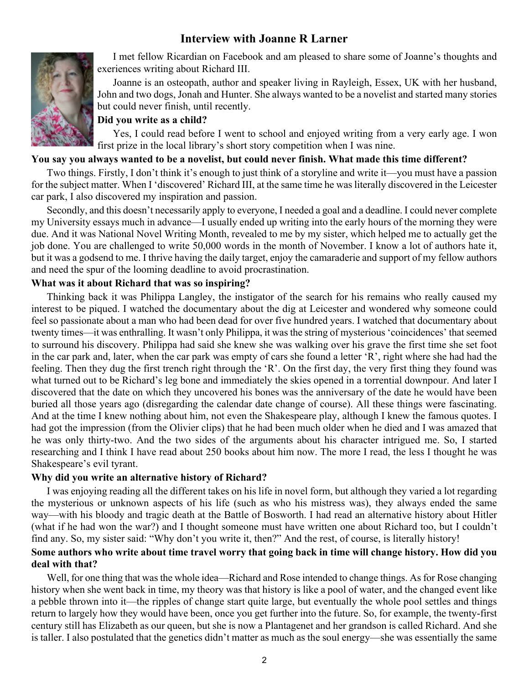### **Interview with Joanne R Larner**

<span id="page-1-0"></span>

I met fellow Ricardian on Facebook and am pleased to share some of Joanne's thoughts and exeriences writing about Richard III.

Joanne is an osteopath, author and speaker living in Rayleigh, Essex, UK with her husband, John and two dogs, Jonah and Hunter. She always wanted to be a novelist and started many stories but could never finish, until recently.

#### **Did you write as a child?**

Yes, I could read before I went to school and enjoyed writing from a very early age. I won first prize in the local library's short story competition when I was nine.

#### **You say you always wanted to be a novelist, but could never finish. What made this time different?**

Two things. Firstly, I don't think it's enough to just think of a storyline and write it—you must have a passion for the subject matter. When I 'discovered' Richard III, at the same time he was literally discovered in the Leicester car park, I also discovered my inspiration and passion.

Secondly, and this doesn't necessarily apply to everyone, I needed a goal and a deadline. I could never complete my University essays much in advance—I usually ended up writing into the early hours of the morning they were due. And it was National Novel Writing Month, revealed to me by my sister, which helped me to actually get the job done. You are challenged to write 50,000 words in the month of November. I know a lot of authors hate it, but it was a godsend to me. I thrive having the daily target, enjoy the camaraderie and support of my fellow authors and need the spur of the looming deadline to avoid procrastination.

#### **What was it about Richard that was so inspiring?**

Thinking back it was Philippa Langley, the instigator of the search for his remains who really caused my interest to be piqued. I watched the documentary about the dig at Leicester and wondered why someone could feel so passionate about a man who had been dead for over five hundred years. I watched that documentary about twenty times—it was enthralling. It wasn't only Philippa, it was the string of mysterious 'coincidences' that seemed to surround his discovery. Philippa had said she knew she was walking over his grave the first time she set foot in the car park and, later, when the car park was empty of cars she found a letter 'R', right where she had had the feeling. Then they dug the first trench right through the 'R'. On the first day, the very first thing they found was what turned out to be Richard's leg bone and immediately the skies opened in a torrential downpour. And later I discovered that the date on which they uncovered his bones was the anniversary of the date he would have been buried all those years ago (disregarding the calendar date change of course). All these things were fascinating. And at the time I knew nothing about him, not even the Shakespeare play, although I knew the famous quotes. I had got the impression (from the Olivier clips) that he had been much older when he died and I was amazed that he was only thirty-two. And the two sides of the arguments about his character intrigued me. So, I started researching and I think I have read about 250 books about him now. The more I read, the less I thought he was Shakespeare's evil tyrant.

#### **Why did you write an alternative history of Richard?**

I was enjoying reading all the different takes on his life in novel form, but although they varied a lot regarding the mysterious or unknown aspects of his life (such as who his mistress was), they always ended the same way—with his bloody and tragic death at the Battle of Bosworth. I had read an alternative history about Hitler (what if he had won the war?) and I thought someone must have written one about Richard too, but I couldn't find any. So, my sister said: "Why don't you write it, then?" And the rest, of course, is literally history!

#### **Some authors who write about time travel worry that going back in time will change history. How did you deal with that?**

Well, for one thing that was the whole idea—Richard and Rose intended to change things. As for Rose changing history when she went back in time, my theory was that history is like a pool of water, and the changed event like a pebble thrown into it—the ripples of change start quite large, but eventually the whole pool settles and things return to largely how they would have been, once you get further into the future. So, for example, the twenty-first century still has Elizabeth as our queen, but she is now a Plantagenet and her grandson is called Richard. And she is taller. I also postulated that the genetics didn't matter as much as the soul energy—she was essentially the same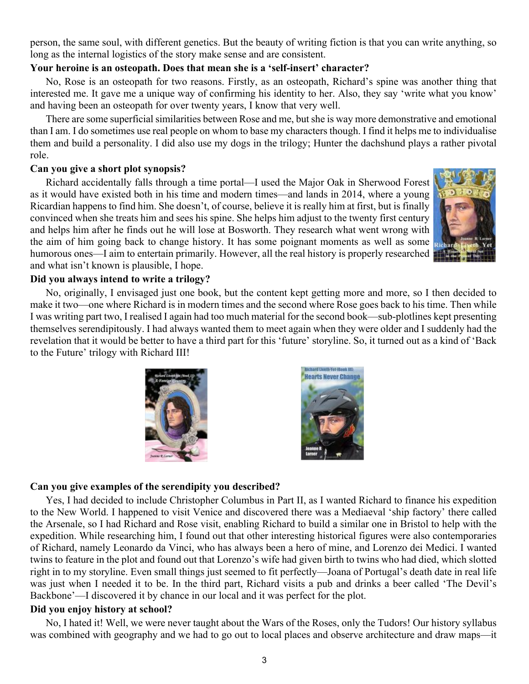person, the same soul, with different genetics. But the beauty of writing fiction is that you can write anything, so long as the internal logistics of the story make sense and are consistent.

#### **Your heroine is an osteopath. Does that mean she is a 'self-insert' character?**

No, Rose is an osteopath for two reasons. Firstly, as an osteopath, Richard's spine was another thing that interested me. It gave me a unique way of confirming his identity to her. Also, they say 'write what you know' and having been an osteopath for over twenty years, I know that very well.

There are some superficial similarities between Rose and me, but she is way more demonstrative and emotional than I am. I do sometimes use real people on whom to base my characters though. I find it helps me to individualise them and build a personality. I did also use my dogs in the trilogy; Hunter the dachshund plays a rather pivotal role.

#### **Can you give a short plot synopsis?**

Richard accidentally falls through a time portal—I used the Major Oak in Sherwood Forest as it would have existed both in his time and modern times—and lands in 2014, where a young Ricardian happens to find him. She doesn't, of course, believe it is really him at first, but is finally convinced when she treats him and sees his spine. She helps him adjust to the twenty first century and helps him after he finds out he will lose at Bosworth. They research what went wrong with the aim of him going back to change history. It has some poignant moments as well as some humorous ones—I aim to entertain primarily. However, all the real history is properly researched and what isn't known is plausible, I hope.



#### **Did you always intend to write a trilogy?**

No, originally, I envisaged just one book, but the content kept getting more and more, so I then decided to make it two—one where Richard is in modern times and the second where Rose goes back to his time. Then while I was writing part two, I realised I again had too much material for the second book—sub-plotlines kept presenting themselves serendipitously. I had always wanted them to meet again when they were older and I suddenly had the revelation that it would be better to have a third part for this 'future' storyline. So, it turned out as a kind of 'Back to the Future' trilogy with Richard III!





#### **Can you give examples of the serendipity you described?**

Yes, I had decided to include Christopher Columbus in Part II, as I wanted Richard to finance his expedition to the New World. I happened to visit Venice and discovered there was a Mediaeval 'ship factory' there called the Arsenale, so I had Richard and Rose visit, enabling Richard to build a similar one in Bristol to help with the expedition. While researching him, I found out that other interesting historical figures were also contemporaries of Richard, namely Leonardo da Vinci, who has always been a hero of mine, and Lorenzo dei Medici. I wanted twins to feature in the plot and found out that Lorenzo's wife had given birth to twins who had died, which slotted right in to my storyline. Even small things just seemed to fit perfectly—Joana of Portugal's death date in real life was just when I needed it to be. In the third part, Richard visits a pub and drinks a beer called 'The Devil's Backbone'—I discovered it by chance in our local and it was perfect for the plot.

#### **Did you enjoy history at school?**

No, I hated it! Well, we were never taught about the Wars of the Roses, only the Tudors! Our history syllabus was combined with geography and we had to go out to local places and observe architecture and draw maps—it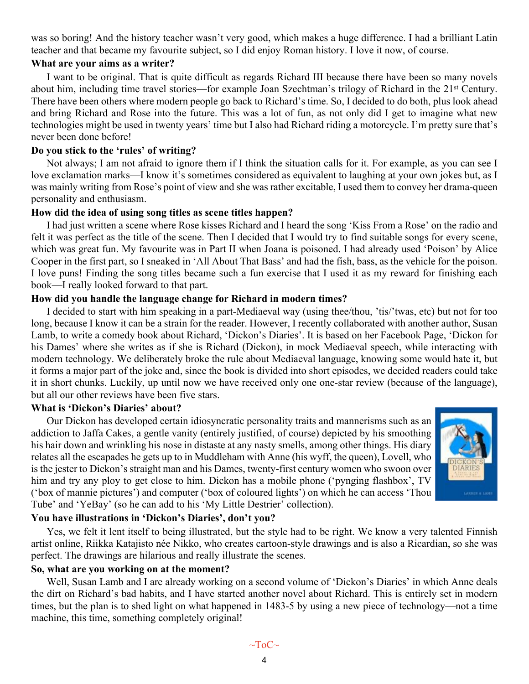was so boring! And the history teacher wasn't very good, which makes a huge difference. I had a brilliant Latin teacher and that became my favourite subject, so I did enjoy Roman history. I love it now, of course.

#### **What are your aims as a writer?**

I want to be original. That is quite difficult as regards Richard III because there have been so many novels about him, including time travel stories—for example Joan Szechtman's trilogy of Richard in the 21st Century. There have been others where modern people go back to Richard's time. So, I decided to do both, plus look ahead and bring Richard and Rose into the future. This was a lot of fun, as not only did I get to imagine what new technologies might be used in twenty years' time but I also had Richard riding a motorcycle. I'm pretty sure that's never been done before!

#### **Do you stick to the 'rules' of writing?**

Not always; I am not afraid to ignore them if I think the situation calls for it. For example, as you can see I love exclamation marks—I know it's sometimes considered as equivalent to laughing at your own jokes but, as I was mainly writing from Rose's point of view and she was rather excitable, I used them to convey her drama-queen personality and enthusiasm.

#### **How did the idea of using song titles as scene titles happen?**

I had just written a scene where Rose kisses Richard and I heard the song 'Kiss From a Rose' on the radio and felt it was perfect as the title of the scene. Then I decided that I would try to find suitable songs for every scene, which was great fun. My favourite was in Part II when Joana is poisoned. I had already used 'Poison' by Alice Cooper in the first part, so I sneaked in 'All About That Bass' and had the fish, bass, as the vehicle for the poison. I love puns! Finding the song titles became such a fun exercise that I used it as my reward for finishing each book—I really looked forward to that part.

#### **How did you handle the language change for Richard in modern times?**

I decided to start with him speaking in a part-Mediaeval way (using thee/thou, 'tis/'twas, etc) but not for too long, because I know it can be a strain for the reader. However, I recently collaborated with another author, Susan Lamb, to write a comedy book about Richard, 'Dickon's Diaries'. It is based on her Facebook Page, 'Dickon for his Dames' where she writes as if she is Richard (Dickon), in mock Mediaeval speech, while interacting with modern technology. We deliberately broke the rule about Mediaeval language, knowing some would hate it, but it forms a major part of the joke and, since the book is divided into short episodes, we decided readers could take it in short chunks. Luckily, up until now we have received only one one-star review (because of the language), but all our other reviews have been five stars.

#### **What is 'Dickon's Diaries' about?**

Our Dickon has developed certain idiosyncratic personality traits and mannerisms such as an addiction to Jaffa Cakes, a gentle vanity (entirely justified, of course) depicted by his smoothing his hair down and wrinkling his nose in distaste at any nasty smells, among other things. His diary relates all the escapades he gets up to in Muddleham with Anne (his wyff, the queen), Lovell, who is the jester to Dickon's straight man and his Dames, twenty-first century women who swoon over him and try any ploy to get close to him. Dickon has a mobile phone ('pynging flashbox', TV ('box of mannie pictures') and computer ('box of coloured lights') on which he can access 'Thou Tube' and 'YeBay' (so he can add to his 'My Little Destrier' collection).



#### **You have illustrations in 'Dickon's Diaries', don't you?**

Yes, we felt it lent itself to being illustrated, but the style had to be right. We know a very talented Finnish artist online, Riikka Katajisto née Nikko, who creates cartoon-style drawings and is also a Ricardian, so she was perfect. The drawings are hilarious and really illustrate the scenes.

#### **So, what are you working on at the moment?**

Well, Susan Lamb and I are already working on a second volume of 'Dickon's Diaries' in which Anne deals the dirt on Richard's bad habits, and I have started another novel about Richard. This is entirely set in modern times, but the plan is to shed light on what happened in 1483-5 by using a new piece of technology—not a time machine, this time, something completely original!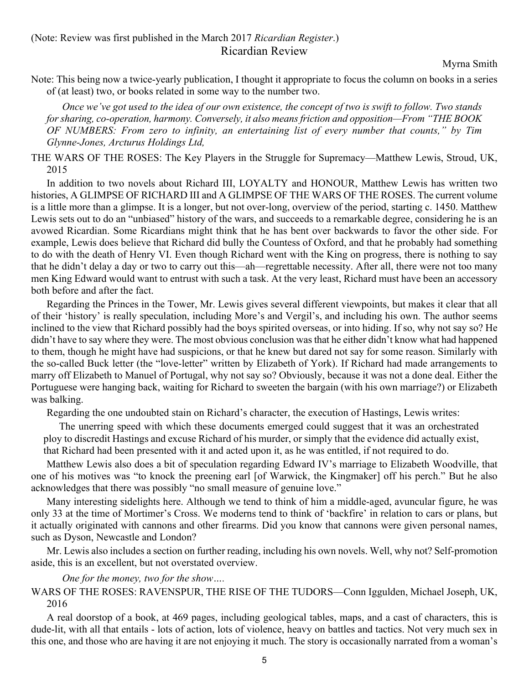<span id="page-4-0"></span>(Note: Review was first published in the March 2017 *Ricardian Register*.) Ricardian Review

Myrna Smith

Note: This being now a twice-yearly publication, I thought it appropriate to focus the column on books in a series of (at least) two, or books related in some way to the number two.

*Once we've got used to the idea of our own existence, the concept of two is swift to follow. Two stands for sharing, co-operation, harmony. Conversely, it also means friction and opposition—From "THE BOOK OF NUMBERS: From zero to infinity, an entertaining list of every number that counts," by Tim Glynne-Jones, Arcturus Holdings Ltd,*

THE WARS OF THE ROSES: The Key Players in the Struggle for Supremacy—Matthew Lewis, Stroud, UK, 2015

In addition to two novels about Richard III, LOYALTY and HONOUR, Matthew Lewis has written two histories, A GLIMPSE OF RICHARD III and A GLIMPSE OF THE WARS OF THE ROSES. The current volume is a little more than a glimpse. It is a longer, but not over-long, overview of the period, starting c. 1450. Matthew Lewis sets out to do an "unbiased" history of the wars, and succeeds to a remarkable degree, considering he is an avowed Ricardian. Some Ricardians might think that he has bent over backwards to favor the other side. For example, Lewis does believe that Richard did bully the Countess of Oxford, and that he probably had something to do with the death of Henry VI. Even though Richard went with the King on progress, there is nothing to say that he didn't delay a day or two to carry out this—ah—regrettable necessity. After all, there were not too many men King Edward would want to entrust with such a task. At the very least, Richard must have been an accessory both before and after the fact.

Regarding the Princes in the Tower, Mr. Lewis gives several different viewpoints, but makes it clear that all of their 'history' is really speculation, including More's and Vergil's, and including his own. The author seems inclined to the view that Richard possibly had the boys spirited overseas, or into hiding. If so, why not say so? He didn't have to say where they were. The most obvious conclusion was that he either didn't know what had happened to them, though he might have had suspicions, or that he knew but dared not say for some reason. Similarly with the so-called Buck letter (the "love-letter" written by Elizabeth of York). If Richard had made arrangements to marry off Elizabeth to Manuel of Portugal, why not say so? Obviously, because it was not a done deal. Either the Portuguese were hanging back, waiting for Richard to sweeten the bargain (with his own marriage?) or Elizabeth was balking.

Regarding the one undoubted stain on Richard's character, the execution of Hastings, Lewis writes:

The unerring speed with which these documents emerged could suggest that it was an orchestrated ploy to discredit Hastings and excuse Richard of his murder, or simply that the evidence did actually exist, that Richard had been presented with it and acted upon it, as he was entitled, if not required to do.

Matthew Lewis also does a bit of speculation regarding Edward IV's marriage to Elizabeth Woodville, that one of his motives was "to knock the preening earl [of Warwick, the Kingmaker] off his perch." But he also acknowledges that there was possibly "no small measure of genuine love."

Many interesting sidelights here. Although we tend to think of him a middle-aged, avuncular figure, he was only 33 at the time of Mortimer's Cross. We moderns tend to think of 'backfire' in relation to cars or plans, but it actually originated with cannons and other firearms. Did you know that cannons were given personal names, such as Dyson, Newcastle and London?

Mr. Lewis also includes a section on further reading, including his own novels. Well, why not? Self-promotion aside, this is an excellent, but not overstated overview.

*One for the money, two for the show….*

WARS OF THE ROSES: RAVENSPUR, THE RISE OF THE TUDORS—Conn Iggulden, Michael Joseph, UK, 2016

A real doorstop of a book, at 469 pages, including geological tables, maps, and a cast of characters, this is dude-lit, with all that entails - lots of action, lots of violence, heavy on battles and tactics. Not very much sex in this one, and those who are having it are not enjoying it much. The story is occasionally narrated from a woman's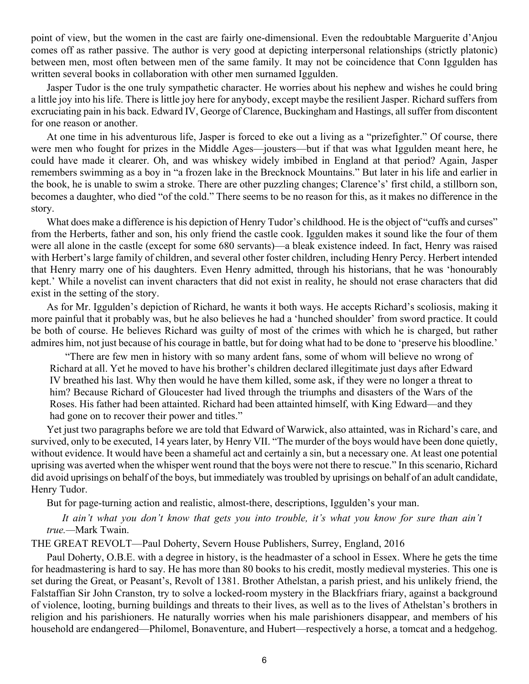point of view, but the women in the cast are fairly one-dimensional. Even the redoubtable Marguerite d'Anjou comes off as rather passive. The author is very good at depicting interpersonal relationships (strictly platonic) between men, most often between men of the same family. It may not be coincidence that Conn Iggulden has written several books in collaboration with other men surnamed Iggulden.

Jasper Tudor is the one truly sympathetic character. He worries about his nephew and wishes he could bring a little joy into his life. There is little joy here for anybody, except maybe the resilient Jasper. Richard suffers from excruciating pain in his back. Edward IV, George of Clarence, Buckingham and Hastings, all suffer from discontent for one reason or another.

At one time in his adventurous life, Jasper is forced to eke out a living as a "prizefighter." Of course, there were men who fought for prizes in the Middle Ages—jousters—but if that was what Iggulden meant here, he could have made it clearer. Oh, and was whiskey widely imbibed in England at that period? Again, Jasper remembers swimming as a boy in "a frozen lake in the Brecknock Mountains." But later in his life and earlier in the book, he is unable to swim a stroke. There are other puzzling changes; Clarence's' first child, a stillborn son, becomes a daughter, who died "of the cold." There seems to be no reason for this, as it makes no difference in the story.

What does make a difference is his depiction of Henry Tudor's childhood. He is the object of "cuffs and curses" from the Herberts, father and son, his only friend the castle cook. Iggulden makes it sound like the four of them were all alone in the castle (except for some 680 servants)—a bleak existence indeed. In fact, Henry was raised with Herbert's large family of children, and several other foster children, including Henry Percy. Herbert intended that Henry marry one of his daughters. Even Henry admitted, through his historians, that he was 'honourably kept.' While a novelist can invent characters that did not exist in reality, he should not erase characters that did exist in the setting of the story.

As for Mr. Iggulden's depiction of Richard, he wants it both ways. He accepts Richard's scoliosis, making it more painful that it probably was, but he also believes he had a 'hunched shoulder' from sword practice. It could be both of course. He believes Richard was guilty of most of the crimes with which he is charged, but rather admires him, not just because of his courage in battle, but for doing what had to be done to 'preserve his bloodline.'

"There are few men in history with so many ardent fans, some of whom will believe no wrong of Richard at all. Yet he moved to have his brother's children declared illegitimate just days after Edward IV breathed his last. Why then would he have them killed, some ask, if they were no longer a threat to him? Because Richard of Gloucester had lived through the triumphs and disasters of the Wars of the Roses. His father had been attainted. Richard had been attainted himself, with King Edward—and they had gone on to recover their power and titles."

Yet just two paragraphs before we are told that Edward of Warwick, also attainted, was in Richard's care, and survived, only to be executed, 14 years later, by Henry VII. "The murder of the boys would have been done quietly, without evidence. It would have been a shameful act and certainly a sin, but a necessary one. At least one potential uprising was averted when the whisper went round that the boys were not there to rescue." In this scenario, Richard did avoid uprisings on behalf of the boys, but immediately was troubled by uprisings on behalf of an adult candidate, Henry Tudor.

But for page-turning action and realistic, almost-there, descriptions, Iggulden's your man.

*It ain't what you don't know that gets you into trouble, it's what you know for sure than ain't true.—*Mark Twain.

THE GREAT REVOLT—Paul Doherty, Severn House Publishers, Surrey, England, 2016

Paul Doherty, O.B.E. with a degree in history, is the headmaster of a school in Essex. Where he gets the time for headmastering is hard to say. He has more than 80 books to his credit, mostly medieval mysteries. This one is set during the Great, or Peasant's, Revolt of 1381. Brother Athelstan, a parish priest, and his unlikely friend, the Falstaffian Sir John Cranston, try to solve a locked-room mystery in the Blackfriars friary, against a background of violence, looting, burning buildings and threats to their lives, as well as to the lives of Athelstan's brothers in religion and his parishioners. He naturally worries when his male parishioners disappear, and members of his household are endangered—Philomel, Bonaventure, and Hubert—respectively a horse, a tomcat and a hedgehog.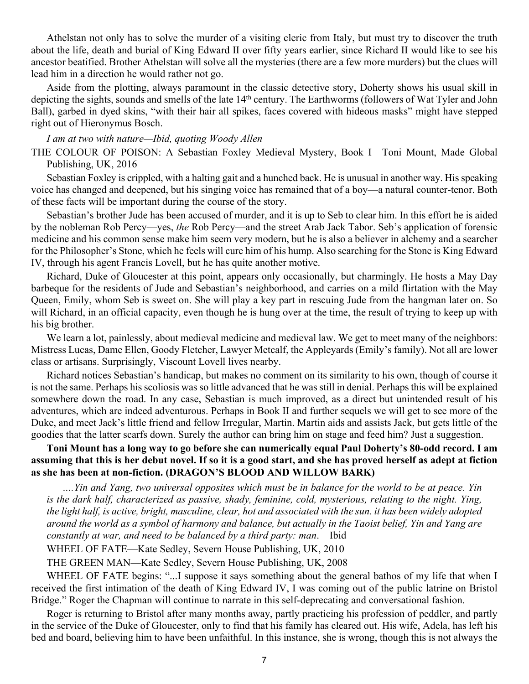Athelstan not only has to solve the murder of a visiting cleric from Italy, but must try to discover the truth about the life, death and burial of King Edward II over fifty years earlier, since Richard II would like to see his ancestor beatified. Brother Athelstan will solve all the mysteries (there are a few more murders) but the clues will lead him in a direction he would rather not go.

Aside from the plotting, always paramount in the classic detective story, Doherty shows his usual skill in depicting the sights, sounds and smells of the late 14<sup>th</sup> century. The Earthworms (followers of Wat Tyler and John Ball), garbed in dyed skins, "with their hair all spikes, faces covered with hideous masks" might have stepped right out of Hieronymus Bosch.

#### *I am at two with nature—Ibid, quoting Woody Allen*

THE COLOUR OF POISON: A Sebastian Foxley Medieval Mystery, Book I—Toni Mount, Made Global Publishing, UK, 2016

Sebastian Foxley is crippled, with a halting gait and a hunched back. He is unusual in another way. His speaking voice has changed and deepened, but his singing voice has remained that of a boy—a natural counter-tenor. Both of these facts will be important during the course of the story.

Sebastian's brother Jude has been accused of murder, and it is up to Seb to clear him. In this effort he is aided by the nobleman Rob Percy—yes, *the* Rob Percy—and the street Arab Jack Tabor. Seb's application of forensic medicine and his common sense make him seem very modern, but he is also a believer in alchemy and a searcher for the Philosopher's Stone, which he feels will cure him of his hump. Also searching for the Stone is King Edward IV, through his agent Francis Lovell, but he has quite another motive.

Richard, Duke of Gloucester at this point, appears only occasionally, but charmingly. He hosts a May Day barbeque for the residents of Jude and Sebastian's neighborhood, and carries on a mild flirtation with the May Queen, Emily, whom Seb is sweet on. She will play a key part in rescuing Jude from the hangman later on. So will Richard, in an official capacity, even though he is hung over at the time, the result of trying to keep up with his big brother.

We learn a lot, painlessly, about medieval medicine and medieval law. We get to meet many of the neighbors: Mistress Lucas, Dame Ellen, Goody Fletcher, Lawyer Metcalf, the Appleyards (Emily's family). Not all are lower class or artisans. Surprisingly, Viscount Lovell lives nearby.

Richard notices Sebastian's handicap, but makes no comment on its similarity to his own, though of course it is not the same. Perhaps his scoliosis was so little advanced that he was still in denial. Perhaps this will be explained somewhere down the road. In any case, Sebastian is much improved, as a direct but unintended result of his adventures, which are indeed adventurous. Perhaps in Book II and further sequels we will get to see more of the Duke, and meet Jack's little friend and fellow Irregular, Martin. Martin aids and assists Jack, but gets little of the goodies that the latter scarfs down. Surely the author can bring him on stage and feed him? Just a suggestion.

#### **Toni Mount has a long way to go before she can numerically equal Paul Doherty's 80-odd record. I am assuming that this is her debut novel. If so it is a good start, and she has proved herself as adept at fiction as she has been at non-fiction. (DRAGON'S BLOOD AND WILLOW BARK)**

*….Yin and Yang, two universal opposites which must be in balance for the world to be at peace. Yin is the dark half, characterized as passive, shady, feminine, cold, mysterious, relating to the night. Ying, the light half, is active, bright, masculine, clear, hot and associated with the sun. it has been widely adopted around the world as a symbol of harmony and balance, but actually in the Taoist belief, Yin and Yang are constantly at war, and need to be balanced by a third party: man*.—Ibid

WHEEL OF FATE—Kate Sedley, Severn House Publishing, UK, 2010

THE GREEN MAN—Kate Sedley, Severn House Publishing, UK, 2008

WHEEL OF FATE begins: "...I suppose it says something about the general bathos of my life that when I received the first intimation of the death of King Edward IV, I was coming out of the public latrine on Bristol Bridge." Roger the Chapman will continue to narrate in this self-deprecating and conversational fashion.

Roger is returning to Bristol after many months away, partly practicing his profession of peddler, and partly in the service of the Duke of Gloucester, only to find that his family has cleared out. His wife, Adela, has left his bed and board, believing him to have been unfaithful. In this instance, she is wrong, though this is not always the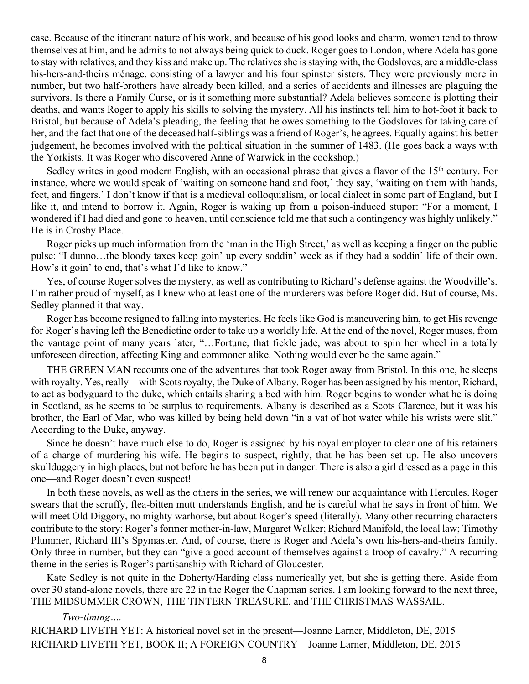case. Because of the itinerant nature of his work, and because of his good looks and charm, women tend to throw themselves at him, and he admits to not always being quick to duck. Roger goes to London, where Adela has gone to stay with relatives, and they kiss and make up. The relatives she is staying with, the Godsloves, are a middle-class his-hers-and-theirs ménage, consisting of a lawyer and his four spinster sisters. They were previously more in number, but two half-brothers have already been killed, and a series of accidents and illnesses are plaguing the survivors. Is there a Family Curse, or is it something more substantial? Adela believes someone is plotting their deaths, and wants Roger to apply his skills to solving the mystery. All his instincts tell him to hot-foot it back to Bristol, but because of Adela's pleading, the feeling that he owes something to the Godsloves for taking care of her, and the fact that one of the deceased half-siblings was a friend of Roger's, he agrees. Equally against his better judgement, he becomes involved with the political situation in the summer of 1483. (He goes back a ways with the Yorkists. It was Roger who discovered Anne of Warwick in the cookshop.)

Sedley writes in good modern English, with an occasional phrase that gives a flavor of the 15<sup>th</sup> century. For instance, where we would speak of 'waiting on someone hand and foot,' they say, 'waiting on them with hands, feet, and fingers.' I don't know if that is a medieval colloquialism, or local dialect in some part of England, but I like it, and intend to borrow it. Again, Roger is waking up from a poison-induced stupor: "For a moment, I wondered if I had died and gone to heaven, until conscience told me that such a contingency was highly unlikely." He is in Crosby Place.

Roger picks up much information from the 'man in the High Street,' as well as keeping a finger on the public pulse: "I dunno…the bloody taxes keep goin' up every soddin' week as if they had a soddin' life of their own. How's it goin' to end, that's what I'd like to know."

Yes, of course Roger solves the mystery, as well as contributing to Richard's defense against the Woodville's. I'm rather proud of myself, as I knew who at least one of the murderers was before Roger did. But of course, Ms. Sedley planned it that way.

Roger has become resigned to falling into mysteries. He feels like God is maneuvering him, to get His revenge for Roger's having left the Benedictine order to take up a worldly life. At the end of the novel, Roger muses, from the vantage point of many years later, "…Fortune, that fickle jade, was about to spin her wheel in a totally unforeseen direction, affecting King and commoner alike. Nothing would ever be the same again."

THE GREEN MAN recounts one of the adventures that took Roger away from Bristol. In this one, he sleeps with royalty. Yes, really—with Scots royalty, the Duke of Albany. Roger has been assigned by his mentor, Richard, to act as bodyguard to the duke, which entails sharing a bed with him. Roger begins to wonder what he is doing in Scotland, as he seems to be surplus to requirements. Albany is described as a Scots Clarence, but it was his brother, the Earl of Mar, who was killed by being held down "in a vat of hot water while his wrists were slit." According to the Duke, anyway.

Since he doesn't have much else to do, Roger is assigned by his royal employer to clear one of his retainers of a charge of murdering his wife. He begins to suspect, rightly, that he has been set up. He also uncovers skullduggery in high places, but not before he has been put in danger. There is also a girl dressed as a page in this one—and Roger doesn't even suspect!

In both these novels, as well as the others in the series, we will renew our acquaintance with Hercules. Roger swears that the scruffy, flea-bitten mutt understands English, and he is careful what he says in front of him. We will meet Old Diggory, no mighty warhorse, but about Roger's speed (literally). Many other recurring characters contribute to the story: Roger's former mother-in-law, Margaret Walker; Richard Manifold, the local law; Timothy Plummer, Richard III's Spymaster. And, of course, there is Roger and Adela's own his-hers-and-theirs family. Only three in number, but they can "give a good account of themselves against a troop of cavalry." A recurring theme in the series is Roger's partisanship with Richard of Gloucester.

Kate Sedley is not quite in the Doherty/Harding class numerically yet, but she is getting there. Aside from over 30 stand-alone novels, there are 22 in the Roger the Chapman series. I am looking forward to the next three, THE MIDSUMMER CROWN, THE TINTERN TREASURE, and THE CHRISTMAS WASSAIL.

*Two-timing….*

RICHARD LIVETH YET: A historical novel set in the present—Joanne Larner, Middleton, DE, 2015 RICHARD LIVETH YET, BOOK II; A FOREIGN COUNTRY—Joanne Larner, Middleton, DE, 2015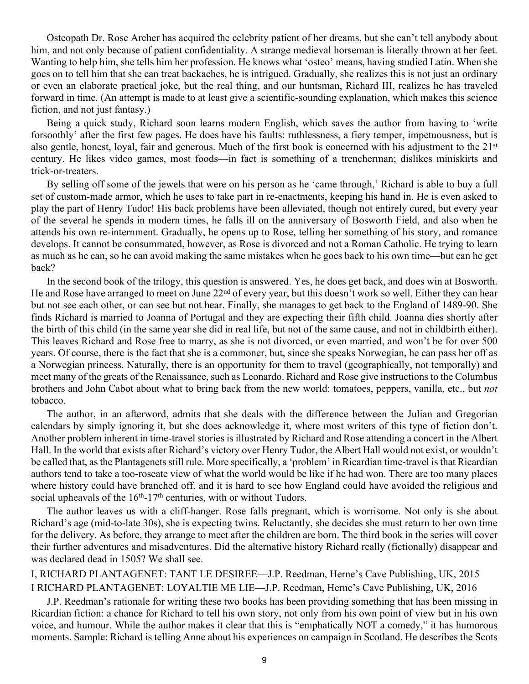Osteopath Dr. Rose Archer has acquired the celebrity patient of her dreams, but she can't tell anybody about him, and not only because of patient confidentiality. A strange medieval horseman is literally thrown at her feet. Wanting to help him, she tells him her profession. He knows what 'osteo' means, having studied Latin. When she goes on to tell him that she can treat backaches, he is intrigued. Gradually, she realizes this is not just an ordinary or even an elaborate practical joke, but the real thing, and our huntsman, Richard III, realizes he has traveled forward in time. (An attempt is made to at least give a scientific-sounding explanation, which makes this science fiction, and not just fantasy.)

Being a quick study, Richard soon learns modern English, which saves the author from having to 'write forsoothly' after the first few pages. He does have his faults: ruthlessness, a fiery temper, impetuousness, but is also gentle, honest, loyal, fair and generous. Much of the first book is concerned with his adjustment to the 21<sup>st</sup> century. He likes video games, most foods—in fact is something of a trencherman; dislikes miniskirts and trick-or-treaters.

By selling off some of the jewels that were on his person as he 'came through,' Richard is able to buy a full set of custom-made armor, which he uses to take part in re-enactments, keeping his hand in. He is even asked to play the part of Henry Tudor! His back problems have been alleviated, though not entirely cured, but every year of the several he spends in modern times, he falls ill on the anniversary of Bosworth Field, and also when he attends his own re-internment. Gradually, he opens up to Rose, telling her something of his story, and romance develops. It cannot be consummated, however, as Rose is divorced and not a Roman Catholic. He trying to learn as much as he can, so he can avoid making the same mistakes when he goes back to his own time—but can he get back?

In the second book of the trilogy, this question is answered. Yes, he does get back, and does win at Bosworth. He and Rose have arranged to meet on June 22<sup>nd</sup> of every year, but this doesn't work so well. Either they can hear but not see each other, or can see but not hear. Finally, she manages to get back to the England of 1489-90. She finds Richard is married to Joanna of Portugal and they are expecting their fifth child. Joanna dies shortly after the birth of this child (in the same year she did in real life, but not of the same cause, and not in childbirth either). This leaves Richard and Rose free to marry, as she is not divorced, or even married, and won't be for over 500 years. Of course, there is the fact that she is a commoner, but, since she speaks Norwegian, he can pass her off as a Norwegian princess. Naturally, there is an opportunity for them to travel (geographically, not temporally) and meet many of the greats of the Renaissance, such as Leonardo. Richard and Rose give instructions to the Columbus brothers and John Cabot about what to bring back from the new world: tomatoes, peppers, vanilla, etc., but *not* tobacco.

The author, in an afterword, admits that she deals with the difference between the Julian and Gregorian calendars by simply ignoring it, but she does acknowledge it, where most writers of this type of fiction don't. Another problem inherent in time-travel stories is illustrated by Richard and Rose attending a concert in the Albert Hall. In the world that exists after Richard's victory over Henry Tudor, the Albert Hall would not exist, or wouldn't be called that, as the Plantagenets still rule. More specifically, a 'problem' in Ricardian time-travel is that Ricardian authors tend to take a too-roseate view of what the world would be like if he had won. There are too many places where history could have branched off, and it is hard to see how England could have avoided the religious and social upheavals of the  $16<sup>th</sup> - 17<sup>th</sup>$  centuries, with or without Tudors.

The author leaves us with a cliff-hanger. Rose falls pregnant, which is worrisome. Not only is she about Richard's age (mid-to-late 30s), she is expecting twins. Reluctantly, she decides she must return to her own time for the delivery. As before, they arrange to meet after the children are born. The third book in the series will cover their further adventures and misadventures. Did the alternative history Richard really (fictionally) disappear and was declared dead in 1505? We shall see.

#### I, RICHARD PLANTAGENET: TANT LE DESIREE—J.P. Reedman, Herne's Cave Publishing, UK, 2015 I RICHARD PLANTAGENET: LOYALTIE ME LIE—J.P. Reedman, Herne's Cave Publishing, UK, 2016

J.P. Reedman's rationale for writing these two books has been providing something that has been missing in Ricardian fiction: a chance for Richard to tell his own story, not only from his own point of view but in his own voice, and humour. While the author makes it clear that this is "emphatically NOT a comedy," it has humorous moments. Sample: Richard is telling Anne about his experiences on campaign in Scotland. He describes the Scots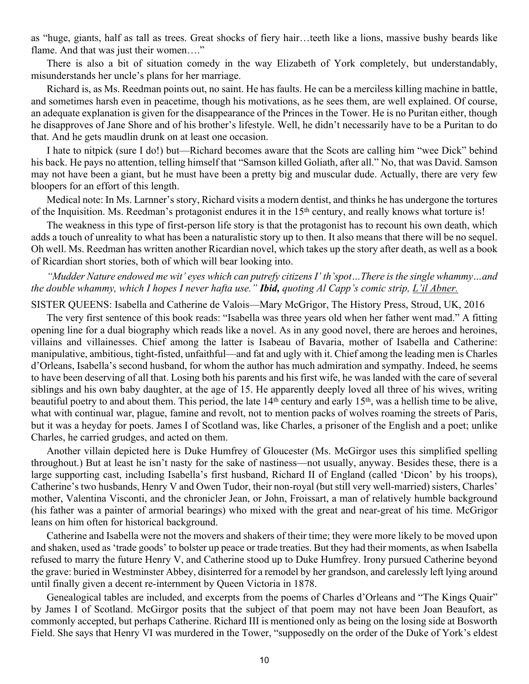as "huge, giants, half as tall as trees. Great shocks of fiery hair…teeth like a lions, massive bushy beards like flame. And that was just their women...."

There is also a bit of situation comedy in the way Elizabeth of York completely, but understandably, misunderstands her uncle's plans for her marriage.

Richard is, as Ms. Reedman points out, no saint. He has faults. He can be a merciless killing machine in battle, and sometimes harsh even in peacetime, though his motivations, as he sees them, are well explained. Of course, an adequate explanation is given for the disappearance of the Princes in the Tower. He is no Puritan either, though he disapproves of Jane Shore and of his brother's lifestyle. Well, he didn't necessarily have to be a Puritan to do that. And he gets maudlin drunk on at least one occasion.

I hate to nitpick (sure I do!) but—Richard becomes aware that the Scots are calling him "wee Dick" behind his back. He pays no attention, telling himself that "Samson killed Goliath, after all." No, that was David. Samson may not have been a giant, but he must have been a pretty big and muscular dude. Actually, there are very few bloopers for an effort of this length.

Medical note: In Ms. Larnner's story, Richard visits a modern dentist, and thinks he has undergone the tortures of the Inquisition. Ms. Reedman's protagonist endures it in the 15th century, and really knows what torture is!

The weakness in this type of first-person life story is that the protagonist has to recount his own death, which adds a touch of unreality to what has been a naturalistic story up to then. It also means that there will be no sequel. Oh well. Ms. Reedman has written another Ricardian novel, which takes up the story after death, as well as a book of Ricardian short stories, both of which will bear looking into.

#### *"Mudder Nature endowed me wit' eyes which can putrefy citizens I' th'spot…There is the single whammy…and the double whammy, which I hopes I never hafta use." Ibid, quoting Al Capp's comic strip, L'il Abner.*

SISTER QUEENS: Isabella and Catherine de Valois—Mary McGrigor, The History Press, Stroud, UK, 2016

The very first sentence of this book reads: "Isabella was three years old when her father went mad." A fitting opening line for a dual biography which reads like a novel. As in any good novel, there are heroes and heroines, villains and villainesses. Chief among the latter is Isabeau of Bavaria, mother of Isabella and Catherine: manipulative, ambitious, tight-fisted, unfaithful—and fat and ugly with it. Chief among the leading men is Charles d'Orleans, Isabella's second husband, for whom the author has much admiration and sympathy. Indeed, he seems to have been deserving of all that. Losing both his parents and his first wife, he was landed with the care of several siblings and his own baby daughter, at the age of 15. He apparently deeply loved all three of his wives, writing beautiful poetry to and about them. This period, the late 14<sup>th</sup> century and early 15<sup>th</sup>, was a hellish time to be alive, what with continual war, plague, famine and revolt, not to mention packs of wolves roaming the streets of Paris, but it was a heyday for poets. James I of Scotland was, like Charles, a prisoner of the English and a poet; unlike Charles, he carried grudges, and acted on them.

Another villain depicted here is Duke Humfrey of Gloucester (Ms. McGirgor uses this simplified spelling throughout.) But at least he isn't nasty for the sake of nastiness—not usually, anyway. Besides these, there is a large supporting cast, including Isabella's first husband, Richard II of England (called 'Dicon' by his troops), Catherine's two husbands, Henry V and Owen Tudor, their non-royal (but still very well-married) sisters, Charles' mother, Valentina Visconti, and the chronicler Jean, or John, Froissart, a man of relatively humble background (his father was a painter of armorial bearings) who mixed with the great and near-great of his time. McGrigor leans on him often for historical background.

Catherine and Isabella were not the movers and shakers of their time; they were more likely to be moved upon and shaken, used as 'trade goods' to bolster up peace or trade treaties. But they had their moments, as when Isabella refused to marry the future Henry V, and Catherine stood up to Duke Humfrey. Irony pursued Catherine beyond the grave: buried in Westminster Abbey, disinterred for a remodel by her grandson, and carelessly left lying around until finally given a decent re-internment by Queen Victoria in 1878.

Genealogical tables are included, and excerpts from the poems of Charles d'Orleans and "The Kings Quair" by James I of Scotland. McGirgor posits that the subject of that poem may not have been Joan Beaufort, as commonly accepted, but perhaps Catherine. Richard III is mentioned only as being on the losing side at Bosworth Field. She says that Henry VI was murdered in the Tower, "supposedly on the order of the Duke of York's eldest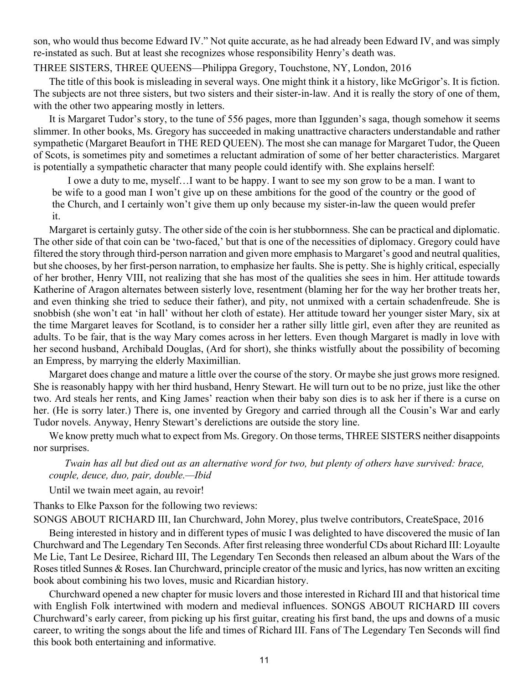son, who would thus become Edward IV." Not quite accurate, as he had already been Edward IV, and was simply re-instated as such. But at least she recognizes whose responsibility Henry's death was.

#### THREE SISTERS, THREE QUEENS—Philippa Gregory, Touchstone, NY, London, 2016

The title of this book is misleading in several ways. One might think it a history, like McGrigor's. It is fiction. The subjects are not three sisters, but two sisters and their sister-in-law. And it is really the story of one of them, with the other two appearing mostly in letters.

It is Margaret Tudor's story, to the tune of 556 pages, more than Iggunden's saga, though somehow it seems slimmer. In other books, Ms. Gregory has succeeded in making unattractive characters understandable and rather sympathetic (Margaret Beaufort in THE RED QUEEN). The most she can manage for Margaret Tudor, the Queen of Scots, is sometimes pity and sometimes a reluctant admiration of some of her better characteristics. Margaret is potentially a sympathetic character that many people could identify with. She explains herself:

I owe a duty to me, myself…I want to be happy. I want to see my son grow to be a man. I want to be wife to a good man I won't give up on these ambitions for the good of the country or the good of the Church, and I certainly won't give them up only because my sister-in-law the queen would prefer it.

Margaret is certainly gutsy. The other side of the coin is her stubbornness. She can be practical and diplomatic. The other side of that coin can be 'two-faced,' but that is one of the necessities of diplomacy. Gregory could have filtered the story through third-person narration and given more emphasis to Margaret's good and neutral qualities, but she chooses, by her first-person narration, to emphasize her faults. She is petty. She is highly critical, especially of her brother, Henry VIII, not realizing that she has most of the qualities she sees in him. Her attitude towards Katherine of Aragon alternates between sisterly love, resentment (blaming her for the way her brother treats her, and even thinking she tried to seduce their father), and pity, not unmixed with a certain schadenfreude. She is snobbish (she won't eat 'in hall' without her cloth of estate). Her attitude toward her younger sister Mary, six at the time Margaret leaves for Scotland, is to consider her a rather silly little girl, even after they are reunited as adults. To be fair, that is the way Mary comes across in her letters. Even though Margaret is madly in love with her second husband, Archibald Douglas, (Ard for short), she thinks wistfully about the possibility of becoming an Empress, by marrying the elderly Maximillian.

Margaret does change and mature a little over the course of the story. Or maybe she just grows more resigned. She is reasonably happy with her third husband, Henry Stewart. He will turn out to be no prize, just like the other two. Ard steals her rents, and King James' reaction when their baby son dies is to ask her if there is a curse on her. (He is sorry later.) There is, one invented by Gregory and carried through all the Cousin's War and early Tudor novels. Anyway, Henry Stewart's derelictions are outside the story line.

We know pretty much what to expect from Ms. Gregory. On those terms, THREE SISTERS neither disappoints nor surprises.

*Twain has all but died out as an alternative word for two, but plenty of others have survived: brace, couple, deuce, duo, pair, double.—Ibid*

Until we twain meet again, au revoir!

Thanks to Elke Paxson for the following two reviews:

SONGS ABOUT RICHARD III, Ian Churchward, John Morey, plus twelve contributors, CreateSpace, 2016

Being interested in history and in different types of music I was delighted to have discovered the music of Ian Churchward and The Legendary Ten Seconds. After first releasing three wonderful CDs about Richard III: Loyaulte Me Lie, Tant Le Desiree, Richard III, The Legendary Ten Seconds then released an album about the Wars of the Roses titled Sunnes & Roses. Ian Churchward, principle creator of the music and lyrics, has now written an exciting book about combining his two loves, music and Ricardian history.

Churchward opened a new chapter for music lovers and those interested in Richard III and that historical time with English Folk intertwined with modern and medieval influences. SONGS ABOUT RICHARD III covers Churchward's early career, from picking up his first guitar, creating his first band, the ups and downs of a music career, to writing the songs about the life and times of Richard III. Fans of The Legendary Ten Seconds will find this book both entertaining and informative.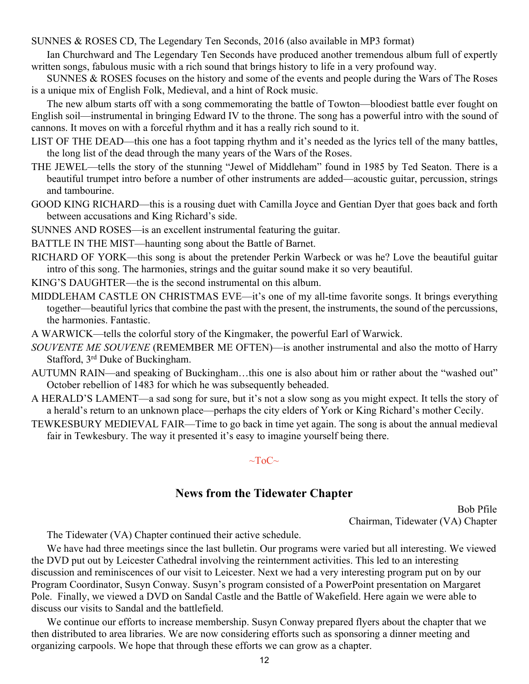<span id="page-11-0"></span>SUNNES & ROSES CD, The Legendary Ten Seconds, 2016 (also available in MP3 format)

Ian Churchward and The Legendary Ten Seconds have produced another tremendous album full of expertly written songs, fabulous music with a rich sound that brings history to life in a very profound way.

SUNNES & ROSES focuses on the history and some of the events and people during the Wars of The Roses is a unique mix of English Folk, Medieval, and a hint of Rock music.

The new album starts off with a song commemorating the battle of Towton—bloodiest battle ever fought on English soil—instrumental in bringing Edward IV to the throne. The song has a powerful intro with the sound of cannons. It moves on with a forceful rhythm and it has a really rich sound to it.

LIST OF THE DEAD—this one has a foot tapping rhythm and it's needed as the lyrics tell of the many battles, the long list of the dead through the many years of the Wars of the Roses.

THE JEWEL—tells the story of the stunning "Jewel of Middleham" found in 1985 by Ted Seaton. There is a beautiful trumpet intro before a number of other instruments are added—acoustic guitar, percussion, strings and tambourine.

GOOD KING RICHARD—this is a rousing duet with Camilla Joyce and Gentian Dyer that goes back and forth between accusations and King Richard's side.

SUNNES AND ROSES—is an excellent instrumental featuring the guitar.

BATTLE IN THE MIST—haunting song about the Battle of Barnet.

RICHARD OF YORK—this song is about the pretender Perkin Warbeck or was he? Love the beautiful guitar intro of this song. The harmonies, strings and the guitar sound make it so very beautiful.

KING'S DAUGHTER—the is the second instrumental on this album.

MIDDLEHAM CASTLE ON CHRISTMAS EVE—it's one of my all-time favorite songs. It brings everything together—beautiful lyrics that combine the past with the present, the instruments, the sound of the percussions, the harmonies. Fantastic.

A WARWICK—tells the colorful story of the Kingmaker, the powerful Earl of Warwick.

*SOUVENTE ME SOUVENE* (REMEMBER ME OFTEN)—is another instrumental and also the motto of Harry Stafford, 3rd Duke of Buckingham.

- AUTUMN RAIN—and speaking of Buckingham…this one is also about him or rather about the "washed out" October rebellion of 1483 for which he was subsequently beheaded.
- A HERALD'S LAMENT—a sad song for sure, but it's not a slow song as you might expect. It tells the story of a herald's return to an unknown place—perhaps the city elders of York or King Richard's mother Cecily.
- TEWKESBURY MEDIEVAL FAIR—Time to go back in time yet again. The song is about the annual medieval fair in Tewkesbury. The way it presented it's easy to imagine yourself being there.

#### $\sim$ ToC $\sim$

#### **News from the Tidewater Chapter**

Bob Pfile Chairman, Tidewater (VA) Chapter

The Tidewater (VA) Chapter continued their active schedule.

We have had three meetings since the last bulletin. Our programs were varied but all interesting. We viewed the DVD put out by Leicester Cathedral involving the reinternment activities. This led to an interesting discussion and reminiscences of our visit to Leicester. Next we had a very interesting program put on by our Program Coordinator, Susyn Conway. Susyn's program consisted of a PowerPoint presentation on Margaret Pole. Finally, we viewed a DVD on Sandal Castle and the Battle of Wakefield. Here again we were able to discuss our visits to Sandal and the battlefield.

We continue our efforts to increase membership. Susyn Conway prepared flyers about the chapter that we then distributed to area libraries. We are now considering efforts such as sponsoring a dinner meeting and organizing carpools. We hope that through these efforts we can grow as a chapter.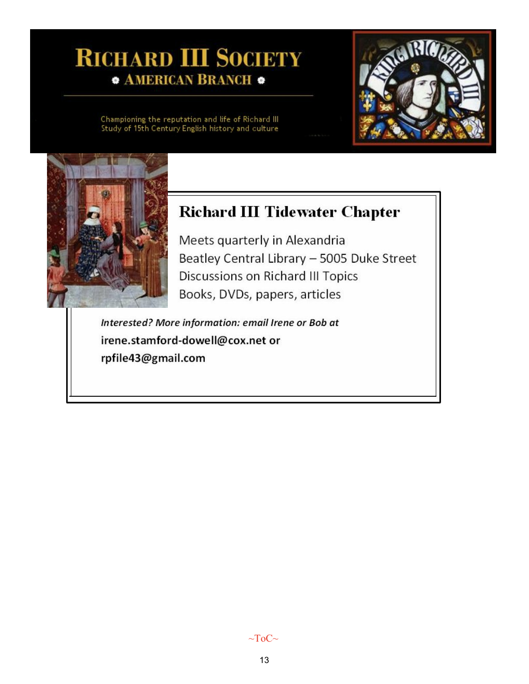# **RICHARD III SOCIETY • AMERICAN BRANCH ·**

Championing the reputation and life of Richard III<br>Study of 15th Century English history and culture



# **Richard III Tidewater Chapter**

Meets quarterly in Alexandria Beatley Central Library - 5005 Duke Street Discussions on Richard III Topics Books, DVDs, papers, articles

Interested? More information: email Irene or Bob at irene.stamford-dowell@cox.net or rpfile43@gmail.com

 $\sim$ ToC $\sim$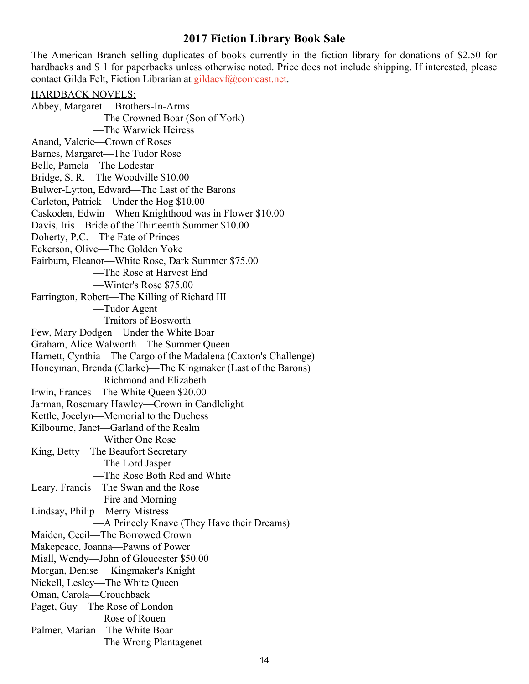#### **2017 Fiction Library Book Sale**

<span id="page-13-0"></span>The American Branch selling duplicates of books currently in the fiction library for donations of \$2.50 for hardbacks and \$1 for paperbacks unless otherwise noted. Price does not include shipping. If interested, please contact Gilda Felt, Fiction Librarian at [gildaevf@comcast.net.](mailto:gildaevf@comcast.net)

HARDBACK NOVELS: Abbey, Margaret— Brothers-In-Arms —The Crowned Boar (Son of York) —The Warwick Heiress Anand, Valerie—Crown of Roses Barnes, Margaret—The Tudor Rose Belle, Pamela—The Lodestar Bridge, S. R.—The Woodville \$10.00 Bulwer-Lytton, Edward—The Last of the Barons Carleton, Patrick—Under the Hog \$10.00 Caskoden, Edwin—When Knighthood was in Flower \$10.00 Davis, Iris—Bride of the Thirteenth Summer \$10.00 Doherty, P.C.—The Fate of Princes Eckerson, Olive—The Golden Yoke Fairburn, Eleanor—White Rose, Dark Summer \$75.00 —The Rose at Harvest End —Winter's Rose \$75.00 Farrington, Robert—The Killing of Richard III —Tudor Agent —Traitors of Bosworth Few, Mary Dodgen—Under the White Boar Graham, Alice Walworth—The Summer Queen Harnett, Cynthia—The Cargo of the Madalena (Caxton's Challenge) Honeyman, Brenda (Clarke)—The Kingmaker (Last of the Barons) —Richmond and Elizabeth Irwin, Frances—The White Queen \$20.00 Jarman, Rosemary Hawley—Crown in Candlelight Kettle, Jocelyn—Memorial to the Duchess Kilbourne, Janet—Garland of the Realm —Wither One Rose King, Betty—The Beaufort Secretary —The Lord Jasper —The Rose Both Red and White Leary, Francis—The Swan and the Rose —Fire and Morning Lindsay, Philip—Merry Mistress —A Princely Knave (They Have their Dreams) Maiden, Cecil—The Borrowed Crown Makepeace, Joanna—Pawns of Power Miall, Wendy—John of Gloucester \$50.00 Morgan, Denise —Kingmaker's Knight Nickell, Lesley—The White Queen Oman, Carola—Crouchback Paget, Guy—The Rose of London —Rose of Rouen Palmer, Marian—The White Boar —The Wrong Plantagenet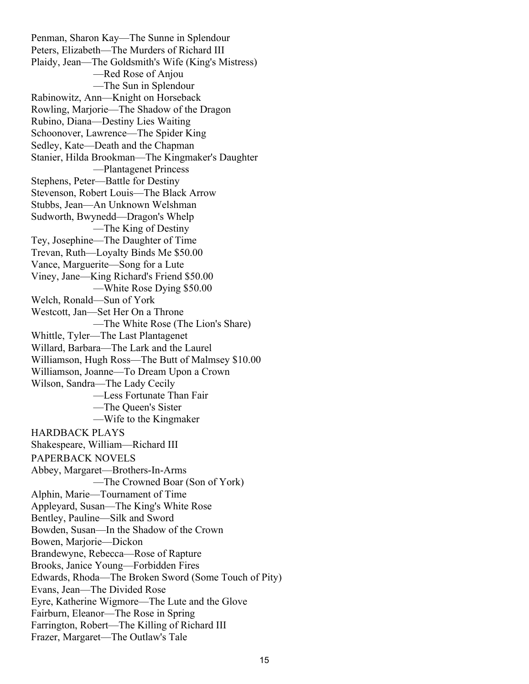Penman, Sharon Kay—The Sunne in Splendour Peters, Elizabeth—The Murders of Richard III Plaidy, Jean—The Goldsmith's Wife (King's Mistress) —Red Rose of Anjou —The Sun in Splendour Rabinowitz, Ann—Knight on Horseback Rowling, Marjorie—The Shadow of the Dragon Rubino, Diana—Destiny Lies Waiting Schoonover, Lawrence—The Spider King Sedley, Kate—Death and the Chapman Stanier, Hilda Brookman—The Kingmaker's Daughter —Plantagenet Princess Stephens, Peter—Battle for Destiny Stevenson, Robert Louis—The Black Arrow Stubbs, Jean—An Unknown Welshman Sudworth, Bwynedd—Dragon's Whelp —The King of Destiny Tey, Josephine—The Daughter of Time Trevan, Ruth—Loyalty Binds Me \$50.00 Vance, Marguerite—Song for a Lute Viney, Jane—King Richard's Friend \$50.00 —White Rose Dying \$50.00 Welch, Ronald—Sun of York Westcott, Jan—Set Her On a Throne —The White Rose (The Lion's Share) Whittle, Tyler—The Last Plantagenet Willard, Barbara—The Lark and the Laurel Williamson, Hugh Ross—The Butt of Malmsey \$10.00 Williamson, Joanne—To Dream Upon a Crown Wilson, Sandra—The Lady Cecily —Less Fortunate Than Fair —The Queen's Sister —Wife to the Kingmaker HARDBACK PLAYS Shakespeare, William—Richard III PAPERBACK NOVELS Abbey, Margaret—Brothers-In-Arms —The Crowned Boar (Son of York) Alphin, Marie—Tournament of Time Appleyard, Susan—The King's White Rose Bentley, Pauline—Silk and Sword Bowden, Susan—In the Shadow of the Crown Bowen, Marjorie—Dickon Brandewyne, Rebecca—Rose of Rapture Brooks, Janice Young—Forbidden Fires Edwards, Rhoda—The Broken Sword (Some Touch of Pity) Evans, Jean—The Divided Rose Eyre, Katherine Wigmore—The Lute and the Glove Fairburn, Eleanor—The Rose in Spring Farrington, Robert—The Killing of Richard III Frazer, Margaret—The Outlaw's Tale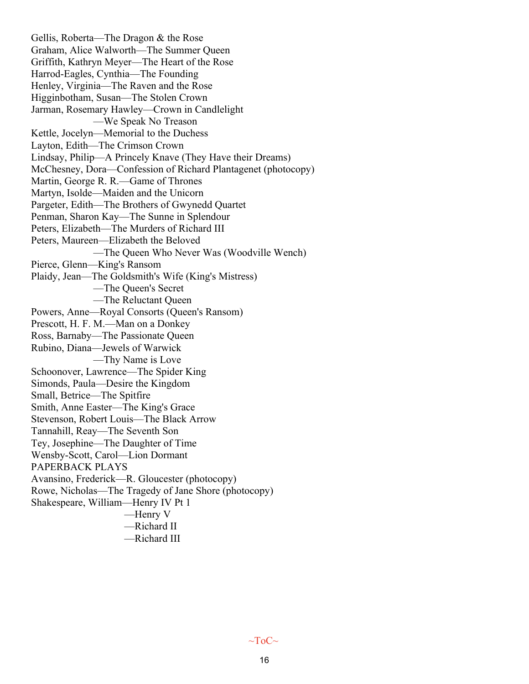Gellis, Roberta—The Dragon & the Rose Graham, Alice Walworth—The Summer Queen Griffith, Kathryn Meyer—The Heart of the Rose Harrod-Eagles, Cynthia—The Founding Henley, Virginia—The Raven and the Rose Higginbotham, Susan—The Stolen Crown Jarman, Rosemary Hawley—Crown in Candlelight —We Speak No Treason Kettle, Jocelyn—Memorial to the Duchess Layton, Edith—The Crimson Crown Lindsay, Philip—A Princely Knave (They Have their Dreams) McChesney, Dora—Confession of Richard Plantagenet (photocopy) Martin, George R. R.—Game of Thrones Martyn, Isolde—Maiden and the Unicorn Pargeter, Edith—The Brothers of Gwynedd Quartet Penman, Sharon Kay—The Sunne in Splendour Peters, Elizabeth—The Murders of Richard III Peters, Maureen—Elizabeth the Beloved —The Queen Who Never Was (Woodville Wench) Pierce, Glenn—King's Ransom Plaidy, Jean—The Goldsmith's Wife (King's Mistress) —The Queen's Secret —The Reluctant Queen Powers, Anne—Royal Consorts (Queen's Ransom) Prescott, H. F. M.—Man on a Donkey Ross, Barnaby—The Passionate Queen Rubino, Diana—Jewels of Warwick —Thy Name is Love Schoonover, Lawrence—The Spider King Simonds, Paula—Desire the Kingdom Small, Betrice—The Spitfire Smith, Anne Easter—The King's Grace Stevenson, Robert Louis—The Black Arrow Tannahill, Reay—The Seventh Son Tey, Josephine—The Daughter of Time Wensby-Scott, Carol—Lion Dormant PAPERBACK PLAYS Avansino, Frederick—R. Gloucester (photocopy) Rowe, Nicholas—The Tragedy of Jane Shore (photocopy) Shakespeare, William—Henry IV Pt 1 —Henry V —Richard II

—Richard III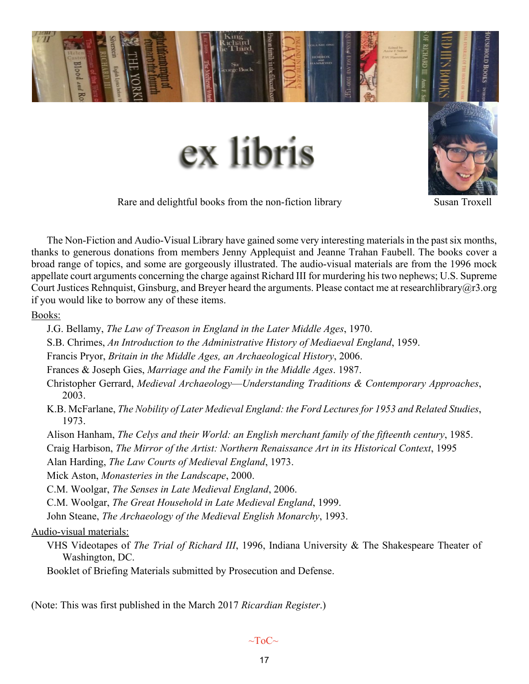<span id="page-16-0"></span>

Rare and delightful books from the non-fiction library Susan Troxell

The Non-Fiction and Audio-Visual Library have gained some very interesting materials in the past six months, thanks to generous donations from members Jenny Applequist and Jeanne Trahan Faubell. The books cover a broad range of topics, and some are gorgeously illustrated. The audio-visual materials are from the 1996 mock appellate court arguments concerning the charge against Richard III for murdering his two nephews; U.S. Supreme Court Justices Rehnquist, Ginsburg, and Breyer heard the arguments. Please contact me at researchlibrary@r3.org if you would like to borrow any of these items.

Books:

J.G. Bellamy, *The Law of Treason in England in the Later Middle Ages*, 1970.

S.B. Chrimes, *An Introduction to the Administrative History of Mediaeval England*, 1959.

Francis Pryor, *Britain in the Middle Ages, an Archaeological History*, 2006.

Frances & Joseph Gies, *Marriage and the Family in the Middle Ages*. 1987.

Christopher Gerrard, *Medieval Archaeology*—*Understanding Traditions & Contemporary Approaches*, 2003.

K.B. McFarlane, *The Nobility of Later Medieval England: the Ford Lectures for 1953 and Related Studies*, 1973.

Alison Hanham, *The Celys and their World: an English merchant family of the fifteenth century*, 1985.

Craig Harbison, *The Mirror of the Artist: Northern Renaissance Art in its Historical Context*, 1995

Alan Harding, *The Law Courts of Medieval England*, 1973.

Mick Aston, *Monasteries in the Landscape*, 2000.

C.M. Woolgar, *The Senses in Late Medieval England*, 2006.

C.M. Woolgar, *The Great Household in Late Medieval England*, 1999.

John Steane, *The Archaeology of the Medieval English Monarchy*, 1993.

#### Audio-visual materials:

VHS Videotapes of *The Trial of Richard III*, 1996, Indiana University & The Shakespeare Theater of Washington, DC.

Booklet of Briefing Materials submitted by Prosecution and Defense.

(Note: This was first published in the March 2017 *Ricardian Register*.)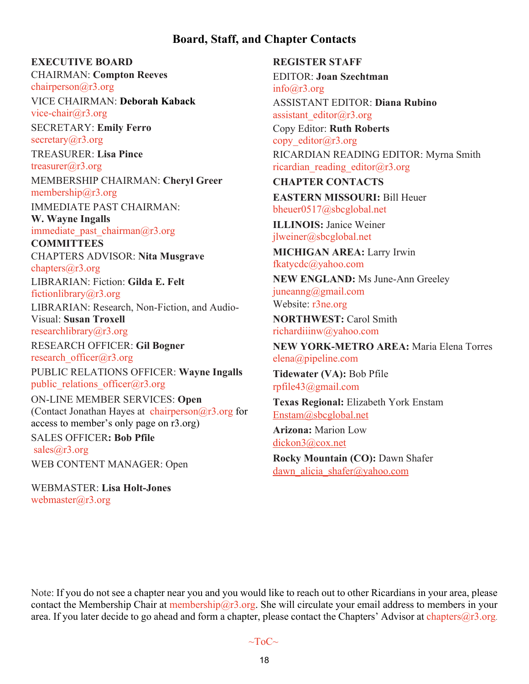### **Board, Staff, and Chapter Contacts**

#### <span id="page-17-0"></span>**EXECUTIVE BOARD**

CHAIRMAN: **Compton Reeves** [chairperson@r3.org](mailto:chairperson@r3.org)

VICE CHAIRMAN: **Deborah Kaback** [vice-chair@r3.org](mailto:vice-chair@r3.org)

SECRETARY: **Emily Ferro** secretary $(a)$ r3.org

TREASURER: **Lisa Pince** [treasurer@r3.org](mailto:treasurer@r3.org) MEMBERSHIP CHAIRMAN: **Cheryl Greer** [membership@r3.org](mailto:membership@r3.org)

IMMEDIATE PAST CHAIRMAN: **W. Wayne Ingalls**

immediate past chairman $@r3.org$ 

**COMMITTEES** CHAPTERS ADVISOR: **Nita Musgrave** [chapters@r3.org](mailto:chapters@r3.org)

LIBRARIAN: Fiction: **Gilda E. Felt** [fictionlibrary@r3.org](mailto:fictionlibrary@r3.org)

LIBRARIAN: Research, Non-Fiction, and Audio-Visual: **Susan Troxell**

[researchlibrary@r3.org](mailto:researchlibrary@r3.org)

RESEARCH OFFICER: **Gil Bogner** [research\\_officer@r3.org](mailto:research_officer@r3.org)

PUBLIC RELATIONS OFFICER: **Wayne Ingalls** public relations officer $@r3.org$ 

ON-LINE MEMBER SERVICES: **Open** (Contact Jonathan Hayes at chairperson $@r3.org$  for access to member's only page on r3.org) SALES OFFICER**: Bob Pfile** [sales@r3.org](mailto:sales@r3.org) WEB CONTENT MANAGER: Open

WEBMASTER: **Lisa Holt-Jones** [webmaster@r3.org](mailto:webmaster@r3.org)

**REGISTER STAFF** EDITOR: **Joan Szechtman** [info@r3.org](mailto:info@r3.org) ASSISTANT EDITOR: **Diana Rubino** [assistant\\_editor@r3.org](mailto:assistant_editor@r3.org) Copy Editor: **Ruth Roberts** copy editor@r3.org RICARDIAN READING EDITOR: Myrna Smith [ricardian\\_reading\\_editor@r3.org](mailto:ricardian_reading_editor@r3.org) **CHAPTER CONTACTS EASTERN MISSOURI:** Bill Heuer [bheuer0517@sbcglobal.net](mailto:bheuer0517@sbcglobal.net) **ILLINOIS:** Janice Weiner [jlweiner@sbcglobal.net](mailto:jlweiner@sbcglobal.net) **MICHIGAN AREA:** Larry Irwin [fkatycdc@yahoo.com](mailto:fkatycdc@yahoo.com) **NEW ENGLAND:** Ms June-Ann Greeley [juneanng@gmail.com](mailto:juneanng@gmail.com) Website: [r3ne.org](http://r3ne.org/) **NORTHWEST:** Carol Smith [richardiiinw@yahoo.com](mailto:richardiiinw@yahoo.com) **NEW YORK-METRO AREA:** Maria Elena Torres [elena@pipeline.com](mailto:elena@pipeline.com) **Tidewater (VA):** Bob Pfile [rpfile43@gmail.com](mailto:rpfile43@gmail.com) **Texas Regional:** Elizabeth York Enstam [Enstam@sbcglobal.net](mailto:Enstam@sbcglobal.net) **Arizona:** Marion Low [dickon3@cox.net](mailto:dickon3@cox.net) **Rocky Mountain (CO):** Dawn Shafer dawn alicia shafer@yahoo.com

Note: If you do not see a chapter near you and you would like to reach out to other Ricardians in your area, please contact the Membership Chair at [membership@r3.org.](mailto:membership@r3.org) She will circulate your email address to members in your area. If you later decide to go ahead and form a chapter, please contact the Chapters' Advisor at [chapters@r3.org](mailto:chapters@r3.org).

 $\sim$ ToC $\sim$